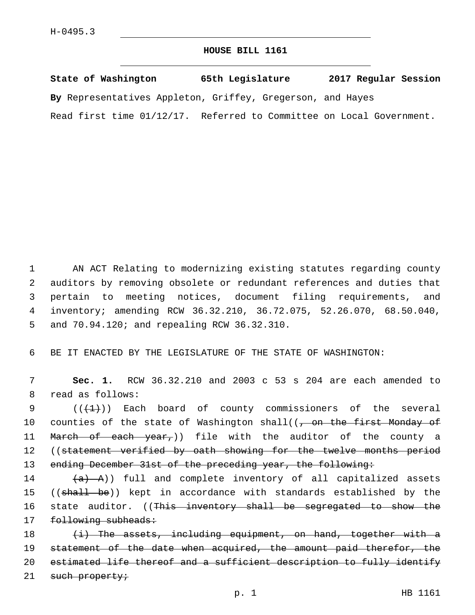## **HOUSE BILL 1161**

**State of Washington 65th Legislature 2017 Regular Session By** Representatives Appleton, Griffey, Gregerson, and Hayes Read first time 01/12/17. Referred to Committee on Local Government.

 AN ACT Relating to modernizing existing statutes regarding county auditors by removing obsolete or redundant references and duties that pertain to meeting notices, document filing requirements, and inventory; amending RCW 36.32.210, 36.72.075, 52.26.070, 68.50.040, 5 and 70.94.120; and repealing RCW 36.32.310.

6 BE IT ENACTED BY THE LEGISLATURE OF THE STATE OF WASHINGTON:

7 **Sec. 1.** RCW 36.32.210 and 2003 c 53 s 204 are each amended to 8 read as follows:

9  $((+1))$  Each board of county commissioners of the several 10 counties of the state of Washington shall((, on the first Monday of 11 Ma<del>rch of each year,</del>)) file with the auditor of the county a 12 ((statement verified by oath showing for the twelve months period 13 ending December 31st of the preceding year, the following:

 $(4)$   $(4)$   $(4)$   $(4)$   $(4)$   $(4)$   $(4)$   $(4)$   $(4)$   $(4)$   $(4)$   $(4)$   $(4)$   $(4)$   $(4)$   $(4)$   $(4)$   $(4)$   $(4)$   $(4)$   $(4)$   $(4)$   $(4)$   $(4)$   $(4)$   $(4)$   $(4)$   $(4)$   $(4)$   $(4)$   $(4)$   $(4)$   $(4)$   $(4)$   $(4)$   $(4)$   $(4)$ 15 ((shall be)) kept in accordance with standards established by the 16 state auditor. ((<del>This inventory shall be segregated to show the</del> 17 following subheads:

18  $(i)$  The assets, including equipment, on hand, together with a 19 statement of the date when acquired, the amount paid therefor, the 20 estimated life thereof and a sufficient description to fully identify 21 such property;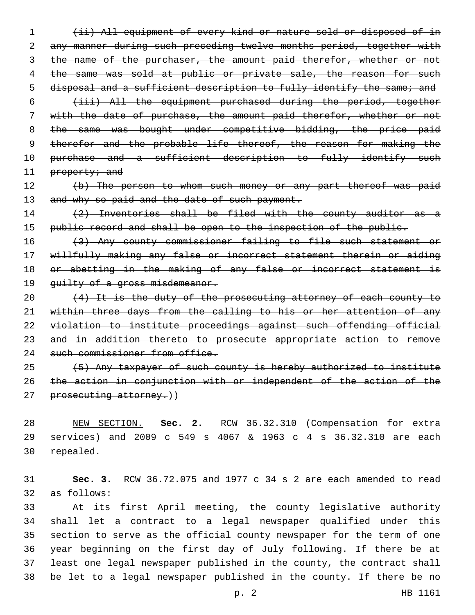1 (ii) All equipment of every kind or nature sold or disposed of in 2 any manner during such preceding twelve months period, together with 3 the name of the purchaser, the amount paid therefor, whether or not 4 the same was sold at public or private sale, the reason for such 5 disposal and a sufficient description to fully identify the same; and 6 (iii) All the equipment purchased during the period, together 7 with the date of purchase, the amount paid therefor, whether or not 8 the same was bought under competitive bidding, the price paid 9 therefor and the probable life thereof, the reason for making the

10 purchase and a sufficient description to fully identify such 11 property; and

12 (b) The person to whom such money or any part thereof was paid 13 and why so paid and the date of such payment.

14 (2) Inventories shall be filed with the county auditor as a 15 public record and shall be open to the inspection of the public.

16 (3) Any county commissioner failing to file such statement or 17 willfully making any false or incorrect statement therein or aiding 18 or abetting in the making of any false or incorrect statement is 19 quilty of a gross misdemeanor.

20 (4) It is the duty of the prosecuting attorney of each county to 21 within three days from the calling to his or her attention of any 22 violation to institute proceedings against such offending official 23 and in addition thereto to prosecute appropriate action to remove 24 such commissioner from office.

25 (5) Any taxpayer of such county is hereby authorized to institute 26 the action in conjunction with or independent of the action of the 27 prosecuting attorney.))

28 NEW SECTION. **Sec. 2.** RCW 36.32.310 (Compensation for extra 29 services) and 2009 c 549 s 4067 & 1963 c 4 s 36.32.310 are each 30 repealed.

31 **Sec. 3.** RCW 36.72.075 and 1977 c 34 s 2 are each amended to read 32 as follows:

 At its first April meeting, the county legislative authority shall let a contract to a legal newspaper qualified under this section to serve as the official county newspaper for the term of one year beginning on the first day of July following. If there be at least one legal newspaper published in the county, the contract shall be let to a legal newspaper published in the county. If there be no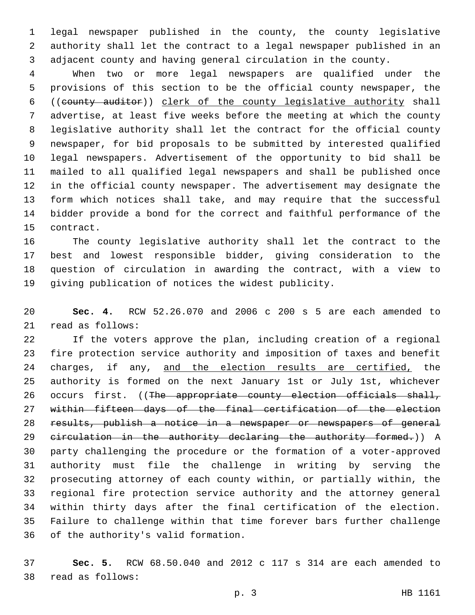legal newspaper published in the county, the county legislative authority shall let the contract to a legal newspaper published in an adjacent county and having general circulation in the county.

 When two or more legal newspapers are qualified under the provisions of this section to be the official county newspaper, the ((county auditor)) clerk of the county legislative authority shall advertise, at least five weeks before the meeting at which the county legislative authority shall let the contract for the official county newspaper, for bid proposals to be submitted by interested qualified legal newspapers. Advertisement of the opportunity to bid shall be mailed to all qualified legal newspapers and shall be published once in the official county newspaper. The advertisement may designate the form which notices shall take, and may require that the successful bidder provide a bond for the correct and faithful performance of the 15 contract.

 The county legislative authority shall let the contract to the best and lowest responsible bidder, giving consideration to the question of circulation in awarding the contract, with a view to giving publication of notices the widest publicity.

 **Sec. 4.** RCW 52.26.070 and 2006 c 200 s 5 are each amended to 21 read as follows:

 If the voters approve the plan, including creation of a regional fire protection service authority and imposition of taxes and benefit 24 charges, if any, and the election results are certified, the authority is formed on the next January 1st or July 1st, whichever 26 occurs first. ((The appropriate county election officials shall, within fifteen days of the final certification of the election results, publish a notice in a newspaper or newspapers of general 29 eirculation in the authority declaring the authority formed.)) A party challenging the procedure or the formation of a voter-approved authority must file the challenge in writing by serving the prosecuting attorney of each county within, or partially within, the regional fire protection service authority and the attorney general within thirty days after the final certification of the election. Failure to challenge within that time forever bars further challenge 36 of the authority's valid formation.

 **Sec. 5.** RCW 68.50.040 and 2012 c 117 s 314 are each amended to read as follows:38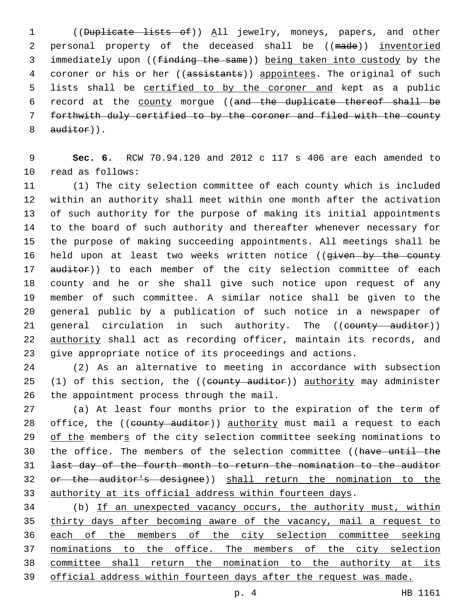((Duplicate lists of)) All jewelry, moneys, papers, and other 2 personal property of the deceased shall be ((made)) inventoried immediately upon ((finding the same)) being taken into custody by the 4 coroner or his or her ((assistants)) appointees. The original of such lists shall be certified to by the coroner and kept as a public record at the county morgue ((and the duplicate thereof shall be forthwith duly certified to by the coroner and filed with the county auditor)).

 **Sec. 6.** RCW 70.94.120 and 2012 c 117 s 406 are each amended to 10 read as follows:

 (1) The city selection committee of each county which is included within an authority shall meet within one month after the activation of such authority for the purpose of making its initial appointments to the board of such authority and thereafter whenever necessary for the purpose of making succeeding appointments. All meetings shall be 16 held upon at least two weeks written notice ((given by the county 17 auditor)) to each member of the city selection committee of each county and he or she shall give such notice upon request of any member of such committee. A similar notice shall be given to the general public by a publication of such notice in a newspaper of 21 general circulation in such authority. The ((county auditor)) 22 authority shall act as recording officer, maintain its records, and give appropriate notice of its proceedings and actions.

 (2) As an alternative to meeting in accordance with subsection 25 (1) of this section, the ((county auditor)) authority may administer 26 the appointment process through the mail.

 (a) At least four months prior to the expiration of the term of 28 office, the ((county auditor)) authority must mail a request to each 29 of the members of the city selection committee seeking nominations to 30 the office. The members of the selection committee ((have until the last day of the fourth month to return the nomination to the auditor or the auditor's designee)) shall return the nomination to the authority at its official address within fourteen days.

 (b) If an unexpected vacancy occurs, the authority must, within thirty days after becoming aware of the vacancy, mail a request to each of the members of the city selection committee seeking nominations to the office. The members of the city selection committee shall return the nomination to the authority at its official address within fourteen days after the request was made.